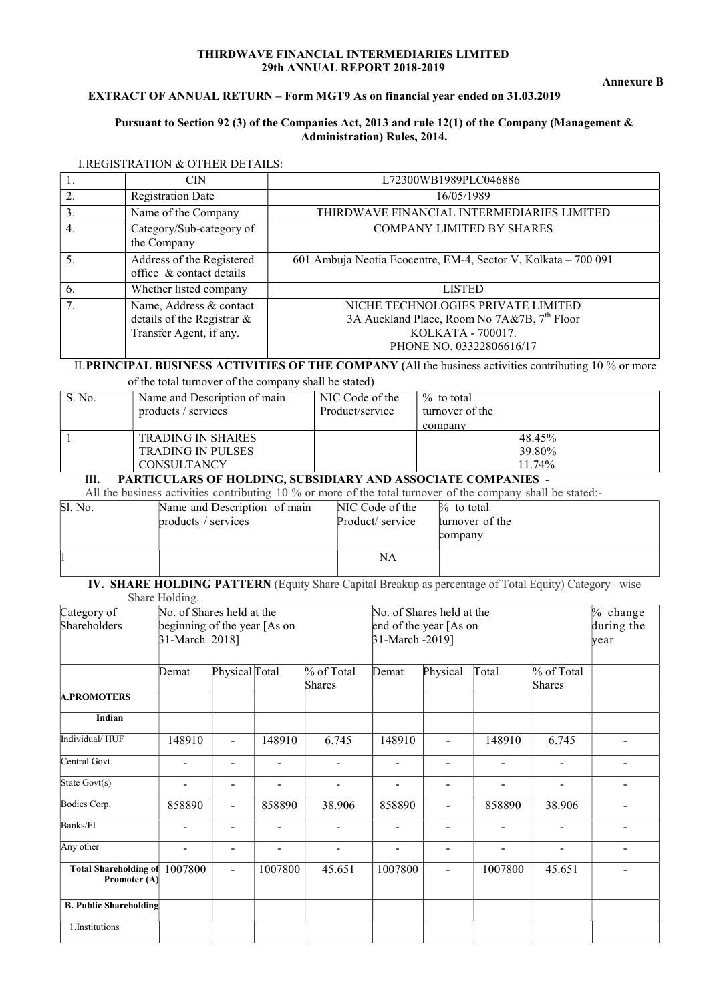#### THIRDWAVE FINANCIAL INTERMEDIARIES LIMITED 29th ANNUAL REPORT 2018-2019

# EXTRACT OF ANNUAL RETURN – Form MGT9 As on financial year ended on 31.03.2019

#### Pursuant to Section 92 (3) of the Companies Act, 2013 and rule 12(1) of the Company (Management & Administration) Rules, 2014.

| 1.               | <b>CIN</b>                                                                       | L72300WB1989PLC046886                                                                                                                          |
|------------------|----------------------------------------------------------------------------------|------------------------------------------------------------------------------------------------------------------------------------------------|
| 2.               | <b>Registration Date</b>                                                         | 16/05/1989                                                                                                                                     |
| $\overline{3}$ . | Name of the Company                                                              | THIRDWAVE FINANCIAL INTERMEDIARIES LIMITED                                                                                                     |
| 4.               | Category/Sub-category of<br>the Company                                          | <b>COMPANY LIMITED BY SHARES</b>                                                                                                               |
| 5.               | Address of the Registered<br>office & contact details                            | 601 Ambuja Neotia Ecocentre, EM-4, Sector V, Kolkata - 700 091                                                                                 |
| 6.               | Whether listed company                                                           | <b>LISTED</b>                                                                                                                                  |
| 7.               | Name, Address & contact<br>details of the Registrar &<br>Transfer Agent, if any. | NICHE TECHNOLOGIES PRIVATE LIMITED<br>3A Auckland Place, Room No 7A&7B, 7 <sup>th</sup> Floor<br>KOLKATA - 700017.<br>PHONE NO. 03322806616/17 |
|                  |                                                                                  | II PRINCIPAL RUSINESS ACTIVITIES OF THE COMPANY (All the business activities contributing 10 % or more                                         |

#### I.REGISTRATION & OTHER DETAILS:

# **BUSINESS ACTIVITIES OF THE COMPANY** (All the business activities contributing 10 % or more

of the total turnover of the company shall be stated)

| S. No. | Name and Description of main | NIC Code of the | $\%$ to total   |
|--------|------------------------------|-----------------|-----------------|
|        | products / services          | Product/service | turnover of the |
|        |                              |                 | company         |
|        | <b>TRADING IN SHARES</b>     |                 | 48.45%          |
|        | <b>TRADING IN PULSES</b>     |                 | 39.80%          |
|        | <b>CONSULTANCY</b>           |                 | 11.74%          |

# III. PARTICULARS OF HOLDING, SUBSIDIARY AND ASSOCIATE COMPANIES -

All the business activities contributing 10 % or more of the total turnover of the company shall be stated:-

| Sl. No. | Name and Description of main<br>products / services | NIC Code of the<br>Product/ service | $\%$ to total<br>turnover of the<br>company |
|---------|-----------------------------------------------------|-------------------------------------|---------------------------------------------|
|         |                                                     | <b>NA</b>                           |                                             |

#### IV. SHARE HOLDING PATTERN (Equity Share Capital Breakup as percentage of Total Equity) Category –wise Share Holding.

| $\sum_{i=1}^{n}$<br>Category of              | No. of Shares held at the                      |                |                          |                              | No. of Shares held at the |                          | $%$ change               |                          |                          |
|----------------------------------------------|------------------------------------------------|----------------|--------------------------|------------------------------|---------------------------|--------------------------|--------------------------|--------------------------|--------------------------|
| Shareholders                                 | beginning of the year [As on<br>31-March 2018] |                |                          |                              | end of the year [As on    |                          | during the               |                          |                          |
|                                              |                                                |                |                          |                              | 31-March -2019]           |                          |                          |                          | year                     |
|                                              |                                                |                |                          |                              |                           |                          |                          |                          |                          |
|                                              | Demat                                          | Physical Total |                          | % of Total                   | Demat                     | Physical                 | Total                    | $%$ of Total             |                          |
|                                              |                                                |                |                          | Shares                       |                           |                          |                          | <b>Shares</b>            |                          |
| <b>A.PROMOTERS</b>                           |                                                |                |                          |                              |                           |                          |                          |                          |                          |
| Indian                                       |                                                |                |                          |                              |                           |                          |                          |                          |                          |
| Individual/HUF                               | 148910                                         | $\overline{a}$ | 148910                   | 6.745                        | 148910                    | $\overline{a}$           | 148910                   | 6.745                    |                          |
| Central Govt.                                |                                                | $\blacksquare$ | $\overline{\phantom{0}}$ | $\overline{\phantom{0}}$     | $\blacksquare$            | $\blacksquare$           |                          | $\blacksquare$           | Ξ.                       |
| State Govt(s)                                | $\overline{\phantom{a}}$                       | $\blacksquare$ | $\overline{\phantom{a}}$ | $\overline{\phantom{a}}$     | $\overline{\phantom{a}}$  | $\overline{\phantom{a}}$ | $\overline{\phantom{a}}$ | $\overline{\phantom{a}}$ | $\overline{\phantom{a}}$ |
| Bodies Corp.                                 | 858890                                         |                | 858890                   | 38.906                       | 858890                    |                          | 858890                   | 38.906                   |                          |
| Banks/FI                                     |                                                |                |                          |                              |                           | $\blacksquare$           |                          |                          |                          |
| Any other                                    | $\qquad \qquad \blacksquare$                   | $\blacksquare$ | $\overline{\phantom{a}}$ | $\qquad \qquad \blacksquare$ | $\overline{\phantom{0}}$  | $\overline{\phantom{a}}$ | -                        | $\overline{\phantom{a}}$ | $\overline{a}$           |
| <b>Total Shareholding of</b><br>Promoter (A) | 1007800                                        | $\blacksquare$ | 1007800                  | 45.651                       | 1007800                   | $\blacksquare$           | 1007800                  | 45.651                   |                          |
| <b>B. Public Shareholding</b>                |                                                |                |                          |                              |                           |                          |                          |                          |                          |
| 1.Institutions                               |                                                |                |                          |                              |                           |                          |                          |                          |                          |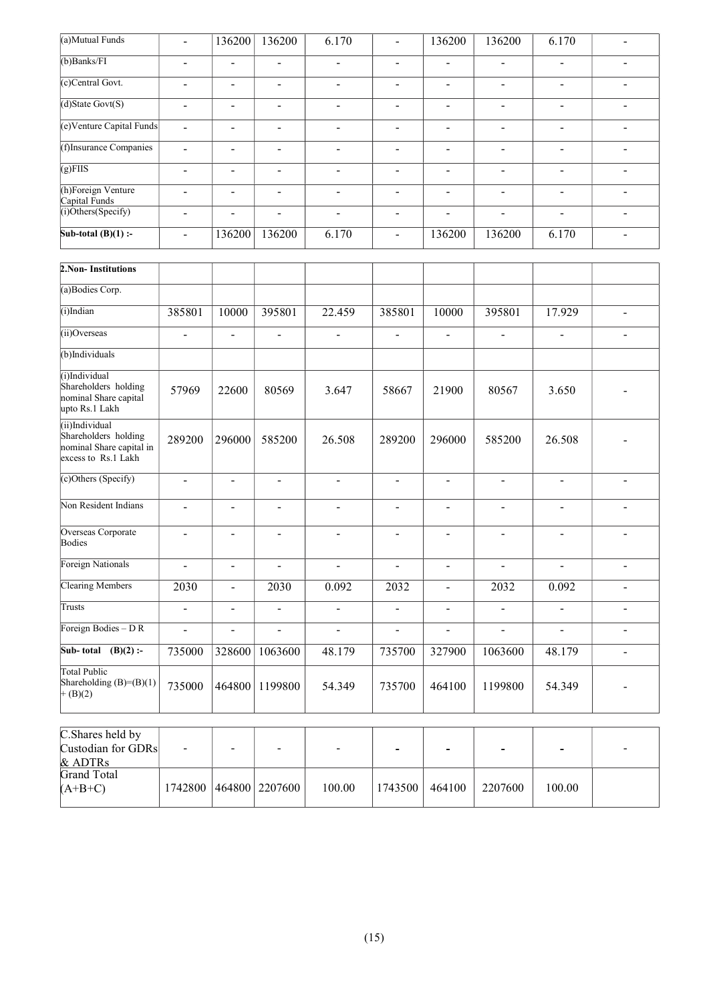| (a)Mutual Funds                                                                           | $\blacksquare$               | 136200                       | 136200                       | 6.170                    | $\overline{\phantom{a}}$     | 136200                       | 136200                       | 6.170                        | $\overline{\phantom{0}}$     |
|-------------------------------------------------------------------------------------------|------------------------------|------------------------------|------------------------------|--------------------------|------------------------------|------------------------------|------------------------------|------------------------------|------------------------------|
| $(b)$ Banks/FI                                                                            | $\frac{1}{2}$                | $\blacksquare$               | $\overline{\phantom{a}}$     | $\blacksquare$           | $\overline{\phantom{0}}$     | $\overline{a}$               | $\blacksquare$               | $\blacksquare$               | $\overline{\phantom{a}}$     |
| (c)Central Govt.                                                                          | $\qquad \qquad \blacksquare$ | $\qquad \qquad \blacksquare$ | $\qquad \qquad \blacksquare$ | $\blacksquare$           | $\blacksquare$               | $\qquad \qquad \blacksquare$ | $\blacksquare$               | $\blacksquare$               | $\blacksquare$               |
| $(d)$ State Govt $(S)$                                                                    | $\overline{a}$               | $\blacksquare$               | $\overline{\phantom{a}}$     | $\blacksquare$           | $\overline{\phantom{a}}$     | $\overline{\phantom{a}}$     | $\blacksquare$               | $\blacksquare$               | $\blacksquare$               |
| (e)Venture Capital Funds                                                                  | $\overline{a}$               | $\blacksquare$               | $\overline{\phantom{a}}$     | $\overline{\phantom{a}}$ | $\overline{\phantom{a}}$     | $\overline{\phantom{a}}$     | $\blacksquare$               | $\blacksquare$               | $\blacksquare$               |
| (f)Insurance Companies                                                                    | $\frac{1}{2}$                | $\overline{\phantom{0}}$     | $\qquad \qquad \blacksquare$ | $\blacksquare$           | $\blacksquare$               | $\qquad \qquad \blacksquare$ | $\overline{\phantom{a}}$     | $\blacksquare$               | $\qquad \qquad \blacksquare$ |
| $(g)$ FIIS                                                                                | $\overline{a}$               | $\blacksquare$               | $\overline{\phantom{a}}$     | $\blacksquare$           | $\overline{\phantom{a}}$     | $\frac{1}{2}$                | $\blacksquare$               | $\blacksquare$               | $\blacksquare$               |
| (h)Foreign Venture<br>Capital Funds                                                       | $\overline{a}$               | $\overline{\phantom{a}}$     | $\overline{a}$               | $\blacksquare$           | $\overline{\phantom{a}}$     | $\overline{a}$               | $\blacksquare$               | $\blacksquare$               | $\blacksquare$               |
| (i)Others(Specify)                                                                        | $\overline{\phantom{a}}$     | $\qquad \qquad \blacksquare$ | $\qquad \qquad \blacksquare$ | $\overline{\phantom{a}}$ | $\qquad \qquad \blacksquare$ | $\qquad \qquad \blacksquare$ | $\qquad \qquad \blacksquare$ | $\qquad \qquad \blacksquare$ | $\qquad \qquad \blacksquare$ |
| Sub-total $(B)(1)$ :-                                                                     | $\overline{\phantom{a}}$     | 136200                       | 136200                       | 6.170                    | $\overline{\phantom{0}}$     | 136200                       | 136200                       | 6.170                        | $\blacksquare$               |
| 2.Non-Institutions                                                                        |                              |                              |                              |                          |                              |                              |                              |                              |                              |
| (a)Bodies Corp.                                                                           |                              |                              |                              |                          |                              |                              |                              |                              |                              |
| $(i)$ Indian                                                                              | 385801                       | 10000                        | 395801                       | 22.459                   | 385801                       | 10000                        | 395801                       | 17.929                       | $\overline{\phantom{a}}$     |
| (ii)Overseas                                                                              | $\overline{a}$               | $\blacksquare$               | $\qquad \qquad \blacksquare$ | $\blacksquare$           | $\blacksquare$               | $\blacksquare$               | $\blacksquare$               | $\blacksquare$               | $\overline{\phantom{a}}$     |
| (b)Individuals                                                                            |                              |                              |                              |                          |                              |                              |                              |                              |                              |
| (i)Individual<br>Shareholders holding<br>nominal Share capital<br>upto Rs.1 Lakh          | 57969                        | 22600                        | 80569                        | 3.647                    | 58667                        | 21900                        | 80567                        | 3.650                        |                              |
| (ii)Individual<br>Shareholders holding<br>nominal Share capital in<br>excess to Rs.1 Lakh | 289200                       | 296000                       | 585200                       | 26.508                   | 289200                       | 296000                       | 585200                       | 26.508                       |                              |
| (c)Others (Specify)                                                                       | $\overline{a}$               | $\overline{a}$               | $\overline{a}$               | $\overline{a}$           | $\overline{\phantom{a}}$     | $\overline{a}$               | $\overline{a}$               | $\overline{a}$               | $\overline{\phantom{a}}$     |
| Non Resident Indians                                                                      | $\blacksquare$               | $\overline{\phantom{0}}$     | $\qquad \qquad \blacksquare$ | $\blacksquare$           | $\qquad \qquad \blacksquare$ | $\qquad \qquad \blacksquare$ | $\blacksquare$               | $\blacksquare$               | $\overline{\phantom{a}}$     |
| Overseas Corporate<br>Bodies                                                              | $\blacksquare$               | $\frac{1}{2}$                | $\overline{a}$               | $\blacksquare$           | $\overline{\phantom{a}}$     | $\overline{\phantom{a}}$     | $\blacksquare$               | $\blacksquare$               | $\blacksquare$               |
| Foreign Nationals                                                                         | $\overline{a}$               | $\overline{a}$               | $\overline{a}$               | $\overline{a}$           |                              | $\overline{a}$               | L.                           |                              |                              |
| Clearing Members                                                                          | 2030                         | $\frac{1}{2}$                | 2030                         | 0.092                    | 2032                         | $\overline{a}$               | 2032                         | 0.092                        |                              |
| Trusts                                                                                    | $\overline{a}$               | $\overline{a}$               | $\overline{a}$               | $\overline{a}$           | $\frac{1}{2}$                | $\qquad \qquad \blacksquare$ | $\overline{a}$               | $\overline{a}$               | $\overline{\phantom{0}}$     |
| Foreign Bodies - DR                                                                       | $\overline{a}$               | $\overline{a}$               | $\overline{a}$               | $\Box$                   | $\frac{1}{2}$                | $\overline{a}$               | $\overline{a}$               | $\overline{\phantom{a}}$     | $\frac{1}{2}$                |
| Sub-total $(B)(2)$ :-                                                                     | 735000                       | 328600                       | 1063600                      | 48.179                   | 735700                       | 327900                       | 1063600                      | 48.179                       | $\overline{\phantom{m}}$     |
| <b>Total Public</b><br>Shareholding $(B)=(B)(1)$<br>$+(B)(2)$                             | 735000                       | 464800                       | 1199800                      | 54.349                   | 735700                       | 464100                       | 1199800                      | 54.349                       |                              |
| C.Shares held by<br>Custodian for GDRs                                                    |                              |                              |                              |                          |                              |                              |                              |                              |                              |

| Custodian for GDRs | - | -                          |        |         | -      | -       | -      | $\overline{\phantom{a}}$ |
|--------------------|---|----------------------------|--------|---------|--------|---------|--------|--------------------------|
| & ADTRs            |   |                            |        |         |        |         |        |                          |
| Grand Total        |   |                            |        |         |        |         |        |                          |
| $(A+B+C)$          |   | 1742800   464800   2207600 | 100.00 | 1743500 | 464100 | 2207600 | 100.00 |                          |
|                    |   |                            |        |         |        |         |        |                          |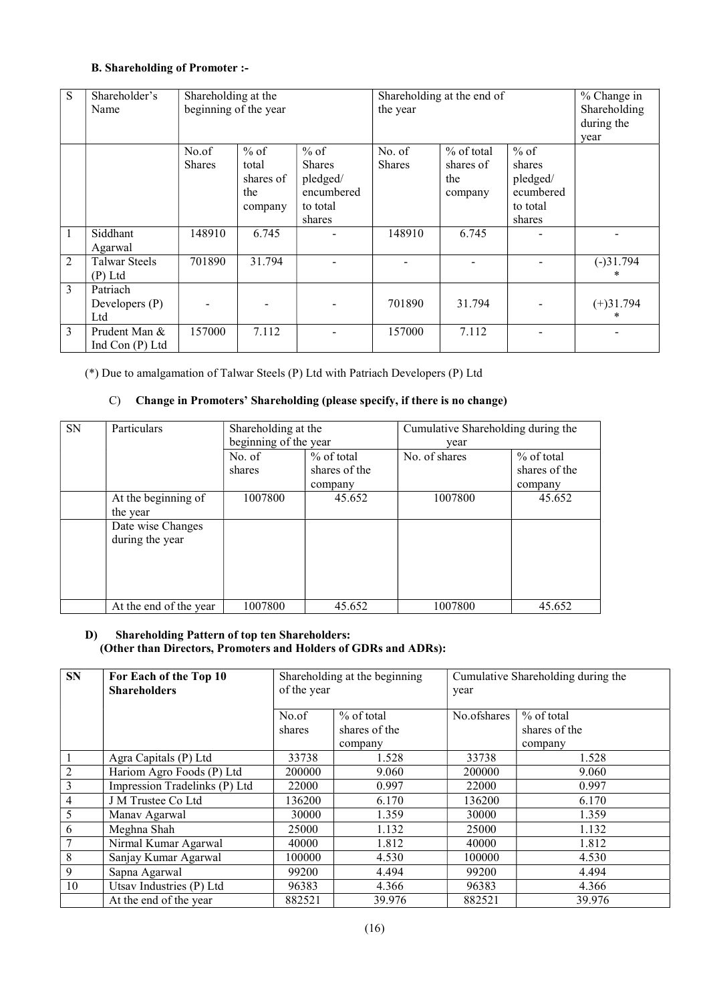## B. Shareholding of Promoter :-

| S              | Shareholder's<br>Name               | Shareholding at the<br>beginning of the year |                                                |                                                                         | Shareholding at the end of<br>the year | % Change in<br>Shareholding<br>during the   |                                                                 |                  |
|----------------|-------------------------------------|----------------------------------------------|------------------------------------------------|-------------------------------------------------------------------------|----------------------------------------|---------------------------------------------|-----------------------------------------------------------------|------------------|
|                |                                     |                                              |                                                |                                                                         |                                        |                                             |                                                                 | year             |
|                |                                     | No.of<br><b>Shares</b>                       | $%$ of<br>total<br>shares of<br>the<br>company | $%$ of<br><b>Shares</b><br>pledged/<br>encumbered<br>to total<br>shares | No. of<br><b>Shares</b>                | $%$ of total<br>shares of<br>the<br>company | $%$ of<br>shares<br>pledged/<br>ecumbered<br>to total<br>shares |                  |
| 1              | Siddhant<br>Agarwal                 | 148910                                       | 6.745                                          |                                                                         | 148910                                 | 6.745                                       |                                                                 |                  |
| $\overline{2}$ | <b>Talwar Steels</b><br>$(P)$ Ltd   | 701890                                       | 31.794                                         |                                                                         |                                        |                                             |                                                                 | $(-)31.794$<br>* |
| 3              | Patriach<br>Developers $(P)$<br>Ltd |                                              |                                                |                                                                         | 701890                                 | 31.794                                      |                                                                 | $(+)31.794$<br>* |
| 3              | Prudent Man &<br>Ind Con $(P)$ Ltd  | 157000                                       | 7.112                                          |                                                                         | 157000                                 | 7.112                                       |                                                                 |                  |

(\*) Due to amalgamation of Talwar Steels (P) Ltd with Patriach Developers (P) Ltd

#### C) Change in Promoters' Shareholding (please specify, if there is no change)

| SN | Particulars            | Shareholding at the   |               | Cumulative Shareholding during the |               |  |
|----|------------------------|-----------------------|---------------|------------------------------------|---------------|--|
|    |                        | beginning of the year |               | year                               |               |  |
|    |                        | No. of                | $%$ of total  | No. of shares                      | $%$ of total  |  |
|    |                        | shares                | shares of the |                                    | shares of the |  |
|    |                        |                       | company       |                                    | company       |  |
|    | At the beginning of    | 1007800               | 45.652        | 1007800                            | 45.652        |  |
|    | the year               |                       |               |                                    |               |  |
|    | Date wise Changes      |                       |               |                                    |               |  |
|    | during the year        |                       |               |                                    |               |  |
|    |                        |                       |               |                                    |               |  |
|    |                        |                       |               |                                    |               |  |
|    |                        |                       |               |                                    |               |  |
|    |                        |                       |               |                                    |               |  |
|    | At the end of the year | 1007800               | 45.652        | 1007800                            | 45.652        |  |

#### D) Shareholding Pattern of top ten Shareholders: (Other than Directors, Promoters and Holders of GDRs and ADRs):

| <b>SN</b>      | For Each of the Top 10<br><b>Shareholders</b> | Shareholding at the beginning<br>of the year |                                          | Cumulative Shareholding during the<br>year |                                          |  |
|----------------|-----------------------------------------------|----------------------------------------------|------------------------------------------|--------------------------------------------|------------------------------------------|--|
|                |                                               | No.of<br>shares                              | $%$ of total<br>shares of the<br>company | No.ofshares                                | $%$ of total<br>shares of the<br>company |  |
| 1              | Agra Capitals (P) Ltd                         | 33738                                        | 1.528                                    | 33738                                      | 1.528                                    |  |
| $\overline{2}$ | Hariom Agro Foods (P) Ltd                     | 200000                                       | 9.060                                    | 200000                                     | 9.060                                    |  |
| $\overline{3}$ | Impression Tradelinks (P) Ltd                 | 22000                                        | 0.997                                    | 22000                                      | 0.997                                    |  |
| $\overline{4}$ | J M Trustee Co Ltd                            | 136200                                       | 6.170                                    | 136200                                     | 6.170                                    |  |
| 5              | Manav Agarwal                                 | 30000                                        | 1.359                                    | 30000                                      | 1.359                                    |  |
| 6              | Meghna Shah                                   | 25000                                        | 1.132                                    | 25000                                      | 1.132                                    |  |
| 7              | Nirmal Kumar Agarwal                          | 40000                                        | 1.812                                    | 40000                                      | 1.812                                    |  |
| 8              | Sanjay Kumar Agarwal                          | 100000                                       | 4.530                                    | 100000                                     | 4.530                                    |  |
| 9              | Sapna Agarwal                                 | 99200                                        | 4.494                                    | 99200                                      | 4.494                                    |  |
| 10             | Utsav Industries (P) Ltd                      | 96383                                        | 4.366                                    | 96383                                      | 4.366                                    |  |
|                | At the end of the year                        | 882521                                       | 39.976                                   | 882521                                     | 39.976                                   |  |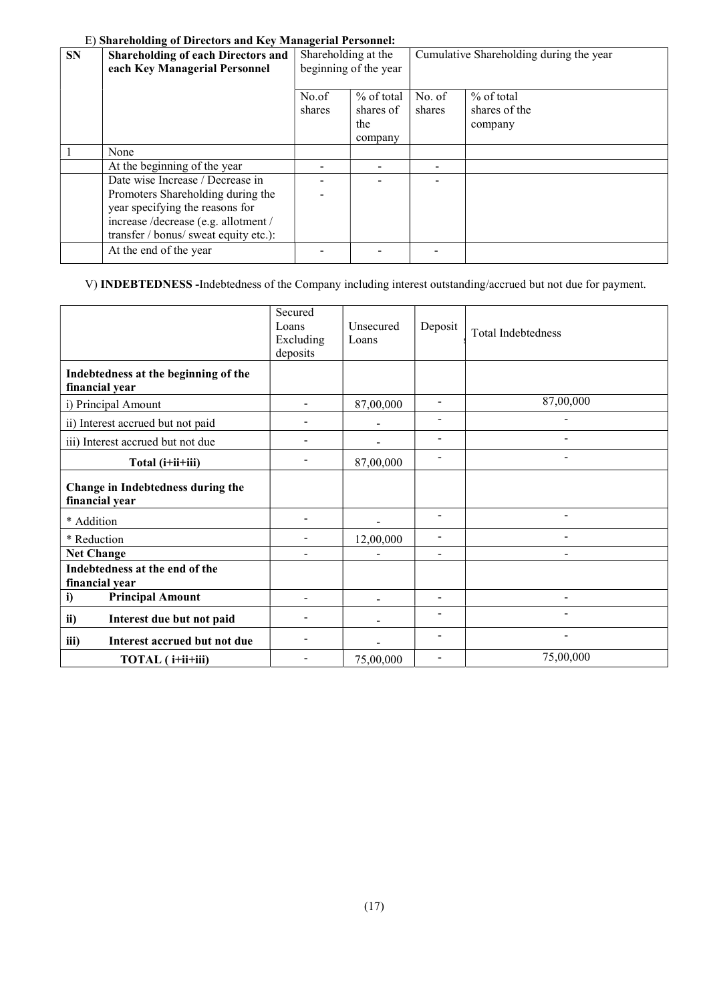# E) Shareholding of Directors and Key Managerial Personnel:

| <b>SN</b> | <b>Shareholding of each Directors and</b><br>each Key Managerial Personnel | Shareholding at the<br>beginning of the year |                                  | Cumulative Shareholding during the year |                                          |  |
|-----------|----------------------------------------------------------------------------|----------------------------------------------|----------------------------------|-----------------------------------------|------------------------------------------|--|
|           |                                                                            | No.of<br>shares                              | $%$ of total<br>shares of<br>the | No. of<br>shares                        | $%$ of total<br>shares of the<br>company |  |
|           |                                                                            |                                              | company                          |                                         |                                          |  |
|           | None                                                                       |                                              |                                  |                                         |                                          |  |
|           | At the beginning of the year                                               |                                              |                                  |                                         |                                          |  |
|           | Date wise Increase / Decrease in                                           |                                              |                                  |                                         |                                          |  |
|           | Promoters Shareholding during the                                          |                                              |                                  |                                         |                                          |  |
|           | year specifying the reasons for                                            |                                              |                                  |                                         |                                          |  |
|           | increase /decrease (e.g. allotment /                                       |                                              |                                  |                                         |                                          |  |
|           | transfer / bonus/ sweat equity etc.):                                      |                                              |                                  |                                         |                                          |  |
|           | At the end of the year                                                     |                                              |                                  |                                         |                                          |  |

# V) INDEBTEDNESS -Indebtedness of the Company including interest outstanding/accrued but not due for payment.

|                                                        | Secured<br>Loans<br>Excluding<br>deposits | <b>Unsecured</b><br>Loans | Deposit                  | <b>Total Indebtedness</b> |
|--------------------------------------------------------|-------------------------------------------|---------------------------|--------------------------|---------------------------|
| Indebtedness at the beginning of the<br>financial year |                                           |                           |                          |                           |
| i) Principal Amount                                    | $\overline{\phantom{a}}$                  | 87,00,000                 | $\overline{\phantom{a}}$ | 87,00,000                 |
| ii) Interest accrued but not paid                      |                                           |                           |                          |                           |
| iii) Interest accrued but not due                      |                                           |                           | $\blacksquare$           |                           |
| Total (i+ii+iii)                                       |                                           | 87,00,000                 | $\blacksquare$           | ÷.                        |
| Change in Indebtedness during the<br>financial year    |                                           |                           |                          |                           |
| * Addition                                             |                                           |                           |                          | $\blacksquare$            |
| * Reduction                                            | $\overline{\phantom{a}}$                  | 12,00,000                 |                          |                           |
| <b>Net Change</b>                                      |                                           |                           | $\overline{a}$           | $\overline{a}$            |
| Indebtedness at the end of the<br>financial year       |                                           |                           |                          |                           |
| <b>Principal Amount</b><br>i)                          |                                           |                           | $\overline{\phantom{a}}$ | $\blacksquare$            |
| ii)<br>Interest due but not paid                       |                                           |                           |                          |                           |
| iii)<br>Interest accrued but not due                   |                                           |                           | $\overline{\phantom{0}}$ | Ξ.                        |
| TOTAL (i+ii+iii)                                       |                                           | 75,00,000                 |                          | 75,00,000                 |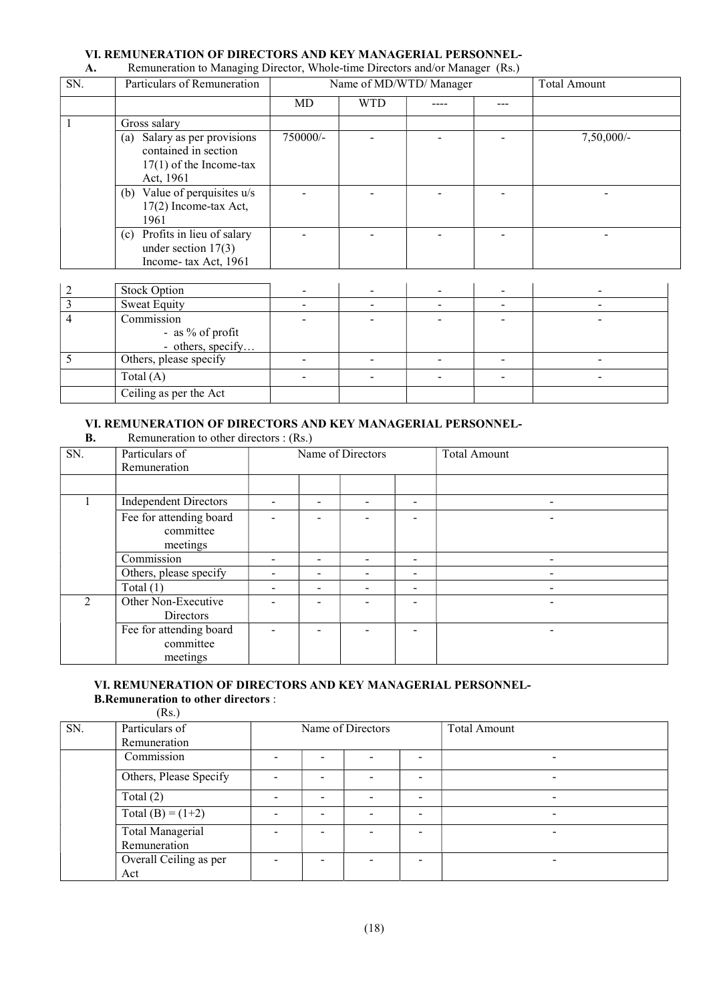# VI. REMUNERATION OF DIRECTORS AND KEY MANAGERIAL PERSONNEL-<br>A. Remuneration to Managing Director. Whole-time Directors and/or Manager (Rs.)

| SN.            | Particulars of Remuneration                                                                       |          |            | Name of MD/WTD/ Manager | <b>Total Amount</b> |
|----------------|---------------------------------------------------------------------------------------------------|----------|------------|-------------------------|---------------------|
|                |                                                                                                   | MD       | <b>WTD</b> |                         |                     |
|                | Gross salary                                                                                      |          |            |                         |                     |
|                | Salary as per provisions<br>(a)<br>contained in section<br>$17(1)$ of the Income-tax<br>Act, 1961 | 750000/- |            |                         | $7,50,000/-$        |
|                | (b) Value of perquisites $u/s$<br>17(2) Income-tax Act,<br>1961                                   |          |            |                         |                     |
|                | Profits in lieu of salary<br>(c)<br>under section $17(3)$<br>Income-tax Act, 1961                 |          |            |                         |                     |
|                |                                                                                                   |          |            |                         |                     |
| $\overline{c}$ | <b>Stock Option</b>                                                                               |          |            |                         |                     |
| 3              | <b>Sweat Equity</b>                                                                               |          |            |                         |                     |
| 4              | Commission<br>- as % of profit<br>- others, specify                                               |          |            |                         |                     |
| 5              | Others, please specify                                                                            |          |            |                         |                     |

Remuneration to Managing Director, Whole-time Directors and/or Manager (Rs.)

## VI. REMUNERATION OF DIRECTORS AND KEY MANAGERIAL PERSONNEL-

Total (A) - - - - -

|     | Remuneration to other directors : (Rs.) |              |  |  |  |  |
|-----|-----------------------------------------|--------------|--|--|--|--|
| ותי | $\Box$ Dowiaulors of                    | Namo of Diro |  |  |  |  |

Ceiling as per the Act

| SN.            | Particulars of               | Name of Directors |      |  |                          | <b>Total Amount</b> |
|----------------|------------------------------|-------------------|------|--|--------------------------|---------------------|
|                | Remuneration                 |                   |      |  |                          |                     |
|                |                              |                   |      |  |                          |                     |
|                | <b>Independent Directors</b> |                   |      |  | $\overline{\phantom{0}}$ |                     |
|                | Fee for attending board      |                   |      |  |                          | $\qquad \qquad$     |
|                | committee                    |                   |      |  |                          |                     |
|                | meetings                     |                   |      |  |                          |                     |
|                | Commission                   |                   |      |  | $\overline{\phantom{0}}$ | $\qquad \qquad$     |
|                | Others, please specify       |                   |      |  | $\overline{\phantom{0}}$ |                     |
|                | Total $(1)$                  |                   | $\,$ |  | $\overline{\phantom{0}}$ | $\blacksquare$      |
| $\mathfrak{D}$ | Other Non-Executive          |                   |      |  |                          |                     |
|                | Directors                    |                   |      |  |                          |                     |
|                | Fee for attending board      |                   |      |  |                          |                     |
|                | committee                    |                   |      |  |                          |                     |
|                | meetings                     |                   |      |  |                          |                     |

#### VI. REMUNERATION OF DIRECTORS AND KEY MANAGERIAL PERSONNEL- B.Remuneration to other directors :

|     | (Rs.)                                   |                          |                          |                          |                          |                          |
|-----|-----------------------------------------|--------------------------|--------------------------|--------------------------|--------------------------|--------------------------|
| SN. | Particulars of<br>Remuneration          | Name of Directors        |                          |                          |                          | Total Amount             |
|     | Commission                              |                          |                          |                          |                          | $\overline{\phantom{0}}$ |
|     | Others, Please Specify                  |                          |                          |                          |                          | -                        |
|     | Total $(2)$                             |                          | $\overline{\phantom{0}}$ |                          | $\overline{\phantom{a}}$ |                          |
|     | Total (B) = $(1+2)$                     | $\overline{\phantom{0}}$ | $\overline{\phantom{0}}$ | $\overline{\phantom{a}}$ | $\overline{\phantom{a}}$ | $\overline{\phantom{0}}$ |
|     | <b>Total Managerial</b><br>Remuneration |                          | $\overline{\phantom{0}}$ |                          | -                        |                          |
|     | Overall Ceiling as per<br>Act           |                          |                          |                          |                          |                          |